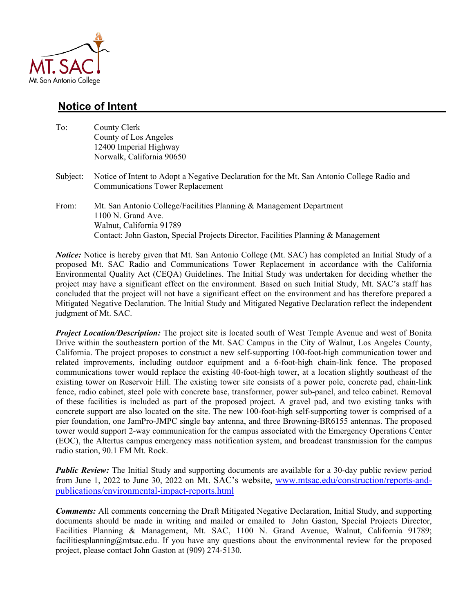

## **Notice of Intent**

| To:      | County Clerk<br>County of Los Angeles<br>12400 Imperial Highway<br>Norwalk, California 90650                                                                                                                 |
|----------|--------------------------------------------------------------------------------------------------------------------------------------------------------------------------------------------------------------|
| Subject: | Notice of Intent to Adopt a Negative Declaration for the Mt. San Antonio College Radio and<br><b>Communications Tower Replacement</b>                                                                        |
| From:    | Mt. San Antonio College/Facilities Planning & Management Department<br>$1100$ N. Grand Ave.<br>Walnut, California 91789<br>Contact: John Gaston, Special Projects Director, Facilities Planning & Management |

*Notice:* Notice is hereby given that Mt. San Antonio College (Mt. SAC) has completed an Initial Study of a proposed Mt. SAC Radio and Communications Tower Replacement in accordance with the California Environmental Quality Act (CEQA) Guidelines. The Initial Study was undertaken for deciding whether the project may have a significant effect on the environment. Based on such Initial Study, Mt. SAC's staff has concluded that the project will not have a significant effect on the environment and has therefore prepared a Mitigated Negative Declaration. The Initial Study and Mitigated Negative Declaration reflect the independent judgment of Mt. SAC.

*Project Location/Description:* The project site is located south of West Temple Avenue and west of Bonita Drive within the southeastern portion of the Mt. SAC Campus in the City of Walnut, Los Angeles County, California. The project proposes to construct a new self-supporting 100-foot-high communication tower and related improvements, including outdoor equipment and a 6-foot-high chain-link fence. The proposed communications tower would replace the existing 40-foot-high tower, at a location slightly southeast of the existing tower on Reservoir Hill. The existing tower site consists of a power pole, concrete pad, chain-link fence, radio cabinet, steel pole with concrete base, transformer, power sub-panel, and telco cabinet. Removal of these facilities is included as part of the proposed project. A gravel pad, and two existing tanks with concrete support are also located on the site. The new 100-foot-high self-supporting tower is comprised of a pier foundation, one JamPro-JMPC single bay antenna, and three Browning-BR6155 antennas. The proposed tower would support 2-way communication for the campus associated with the Emergency Operations Center (EOC), the Altertus campus emergency mass notification system, and broadcast transmission for the campus radio station, 90.1 FM Mt. Rock.

*Public Review:* The Initial Study and supporting documents are available for a 30-day public review period from June 1, 2022 to June 30, 2022 on Mt. SAC's website, www.mtsac.edu/construction/reports-andpublications/environmental-impact-reports.html

*Comments:* All comments concerning the Draft Mitigated Negative Declaration, Initial Study, and supporting documents should be made in writing and mailed or emailed to John Gaston, Special Projects Director, Facilities Planning & Management, Mt. SAC, 1100 N. Grand Avenue, Walnut, California 91789; facilitiesplanning@mtsac.edu. If you have any questions about the environmental review for the proposed project, please contact John Gaston at (909) 274-5130.